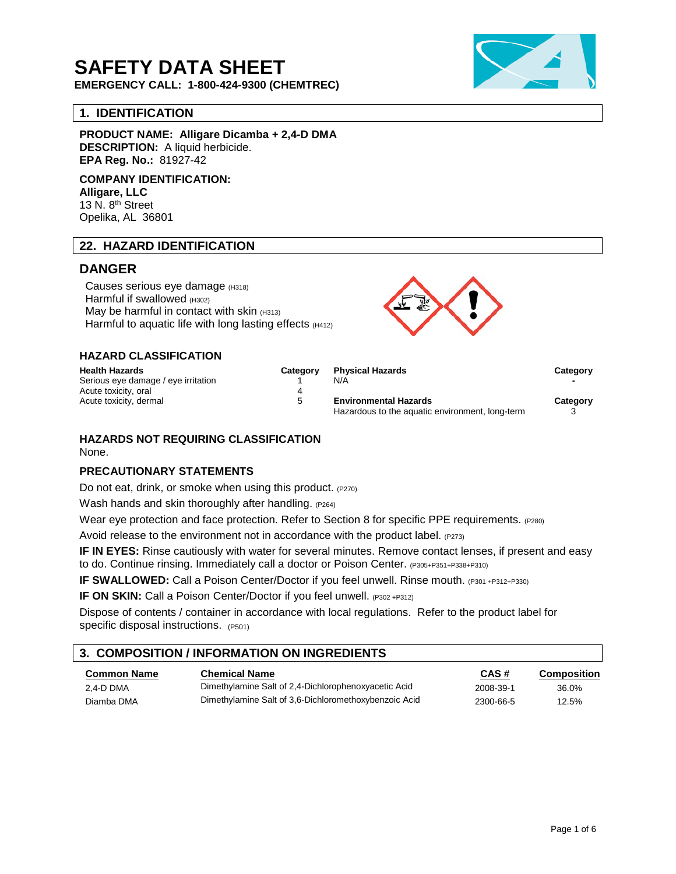# **SAFETY DATA SHEET**

**EMERGENCY CALL: 1-800-424-9300 (CHEMTREC)**

## **1. IDENTIFICATION**

**PRODUCT NAME: Alligare Dicamba + 2,4-D DMA DESCRIPTION:** A liquid herbicide. **EPA Reg. No.:** 81927-42

**COMPANY IDENTIFICATION: Alligare, LLC** 13 N. 8<sup>th</sup> Street Opelika, AL 36801

## **22. HAZARD IDENTIFICATION**

# **DANGER**

Causes serious eye damage (H318) Harmful if swallowed (H302) May be harmful in contact with skin  $(H313)$ Harmful to aquatic life with long lasting effects (H412)



## **HAZARD CLASSIFICATION**

| <b>Health Hazards</b>               | Category | <b>Physical Hazards</b>                         | Category |
|-------------------------------------|----------|-------------------------------------------------|----------|
| Serious eye damage / eye irritation |          | N/A                                             |          |
| Acute toxicity, oral                |          |                                                 |          |
| Acute toxicity, dermal              | 5        | <b>Environmental Hazards</b>                    | Category |
|                                     |          | Hazardous to the aquatic environment, long-term |          |

#### **HAZARDS NOT REQUIRING CLASSIFICATION** None.

#### **PRECAUTIONARY STATEMENTS**

Do not eat, drink, or smoke when using this product. (P270)

Wash hands and skin thoroughly after handling. (P264)

Wear eye protection and face protection. Refer to Section 8 for specific PPE requirements. (P280)

Avoid release to the environment not in accordance with the product label.  $(P273)$ 

**IF IN EYES:** Rinse cautiously with water for several minutes. Remove contact lenses, if present and easy to do. Continue rinsing. Immediately call a doctor or Poison Center. (P305+P351+P338+P310)

**IF SWALLOWED:** Call a Poison Center/Doctor if you feel unwell. Rinse mouth. (P301 +P312+P330)

**IF ON SKIN:** Call a Poison Center/Doctor if you feel unwell. (P302 +P312)

Dispose of contents / container in accordance with local regulations. Refer to the product label for specific disposal instructions. (P501)

# **3. COMPOSITION / INFORMATION ON INGREDIENTS**

| <b>Common Name</b> | <b>Chemical Name</b>                                  | CAS#      | Composition |
|--------------------|-------------------------------------------------------|-----------|-------------|
| 2.4-D DMA          | Dimethylamine Salt of 2.4-Dichlorophenoxyacetic Acid  | 2008-39-1 | 36.0%       |
| Diamba DMA         | Dimethylamine Salt of 3.6-Dichloromethoxybenzoic Acid | 2300-66-5 | 12.5%       |

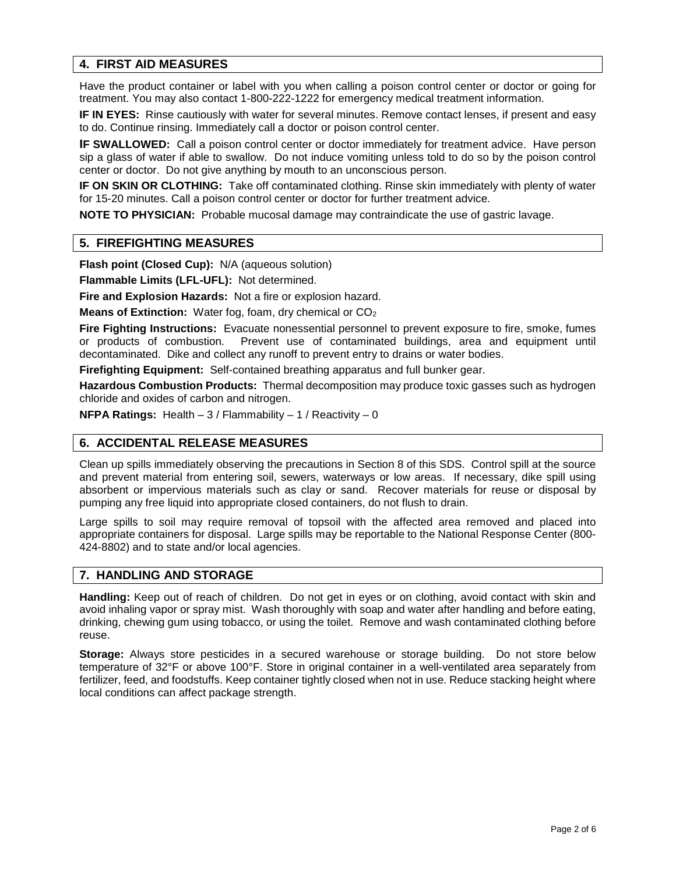## **4. FIRST AID MEASURES**

Have the product container or label with you when calling a poison control center or doctor or going for treatment. You may also contact 1-800-222-1222 for emergency medical treatment information.

**IF IN EYES:** Rinse cautiously with water for several minutes. Remove contact lenses, if present and easy to do. Continue rinsing. Immediately call a doctor or poison control center.

**IF SWALLOWED:** Call a poison control center or doctor immediately for treatment advice. Have person sip a glass of water if able to swallow. Do not induce vomiting unless told to do so by the poison control center or doctor. Do not give anything by mouth to an unconscious person.

**IF ON SKIN OR CLOTHING:** Take off contaminated clothing. Rinse skin immediately with plenty of water for 15-20 minutes. Call a poison control center or doctor for further treatment advice.

**NOTE TO PHYSICIAN:** Probable mucosal damage may contraindicate the use of gastric lavage.

## **5. FIREFIGHTING MEASURES**

**Flash point (Closed Cup):** N/A (aqueous solution)

**Flammable Limits (LFL-UFL):** Not determined.

**Fire and Explosion Hazards:** Not a fire or explosion hazard.

**Means of Extinction:** Water fog, foam, dry chemical or CO<sub>2</sub>

**Fire Fighting Instructions:** Evacuate nonessential personnel to prevent exposure to fire, smoke, fumes or products of combustion. Prevent use of contaminated buildings, area and equipment until Prevent use of contaminated buildings, area and equipment until decontaminated. Dike and collect any runoff to prevent entry to drains or water bodies.

**Firefighting Equipment:** Self-contained breathing apparatus and full bunker gear.

**Hazardous Combustion Products:** Thermal decomposition may produce toxic gasses such as hydrogen chloride and oxides of carbon and nitrogen.

**NFPA Ratings:** Health – 3 / Flammability – 1 / Reactivity – 0

#### **6. ACCIDENTAL RELEASE MEASURES**

Clean up spills immediately observing the precautions in Section 8 of this SDS. Control spill at the source and prevent material from entering soil, sewers, waterways or low areas. If necessary, dike spill using absorbent or impervious materials such as clay or sand. Recover materials for reuse or disposal by pumping any free liquid into appropriate closed containers, do not flush to drain.

Large spills to soil may require removal of topsoil with the affected area removed and placed into appropriate containers for disposal. Large spills may be reportable to the National Response Center (800- 424-8802) and to state and/or local agencies.

#### **7. HANDLING AND STORAGE**

**Handling:** Keep out of reach of children. Do not get in eyes or on clothing, avoid contact with skin and avoid inhaling vapor or spray mist. Wash thoroughly with soap and water after handling and before eating, drinking, chewing gum using tobacco, or using the toilet. Remove and wash contaminated clothing before reuse.

**Storage:** Always store pesticides in a secured warehouse or storage building. Do not store below temperature of 32°F or above 100°F. Store in original container in a well-ventilated area separately from fertilizer, feed, and foodstuffs. Keep container tightly closed when not in use. Reduce stacking height where local conditions can affect package strength.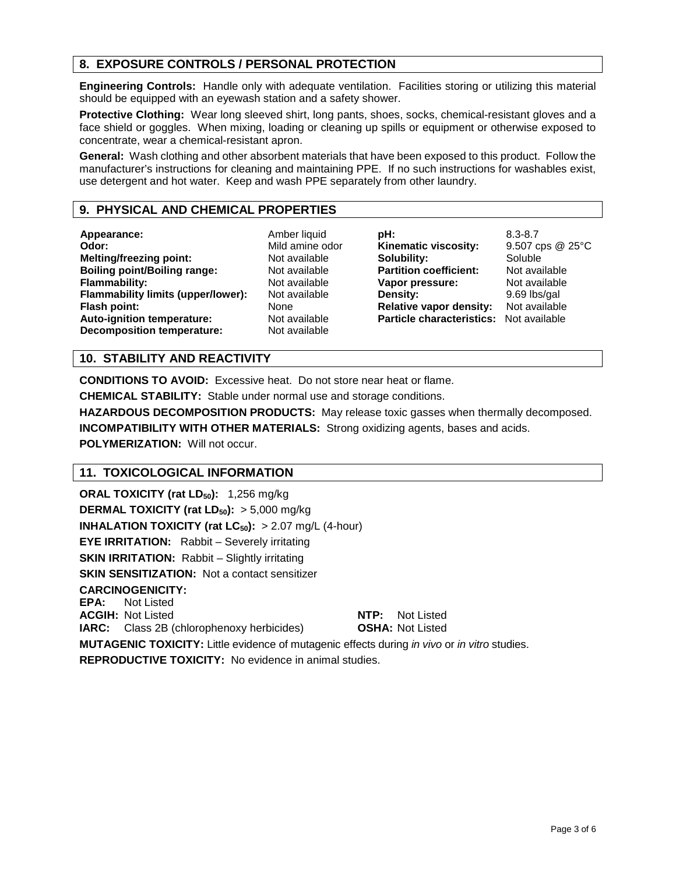# **8. EXPOSURE CONTROLS / PERSONAL PROTECTION**

**Engineering Controls:** Handle only with adequate ventilation. Facilities storing or utilizing this material should be equipped with an eyewash station and a safety shower.

**Protective Clothing:** Wear long sleeved shirt, long pants, shoes, socks, chemical-resistant gloves and a face shield or goggles. When mixing, loading or cleaning up spills or equipment or otherwise exposed to concentrate, wear a chemical-resistant apron.

**General:** Wash clothing and other absorbent materials that have been exposed to this product. Follow the manufacturer's instructions for cleaning and maintaining PPE. If no such instructions for washables exist, use detergent and hot water. Keep and wash PPE separately from other laundry.

## **9. PHYSICAL AND CHEMICAL PROPERTIES**

**Appearance:** Amber liquid<br> **A** Amber liquid<br> **A** A Mild amine of **Melting/freezing point: Boiling point/Boiling range:** Not available **Flammability:** Not available<br>**Flammability limits (upper/lower):** Not available **Flammability limits (upper/lower): Flash point:** None None None Rash point:<br> **Auto-ignition temperature:** Not available **Auto-ignition temperature:** Not available<br> **Decomposition temperature:** Not available **Decomposition temperature:** 

Mild amine odor<br>Not available

**pH:** 8.3-8.7 **Kinematic viscosity:** 9.507 cps @ 25°C<br> **Solubility:** Soluble **Solubility: Partition coefficient:** Not available **Vapor pressure:** Not available<br> **Density:** 9.69 lbs/gal **Relative vapor density:** Not available **Particle characteristics:** Not available

**Density:** 9.69 lbs/gal

## **10. STABILITY AND REACTIVITY**

**CONDITIONS TO AVOID:** Excessive heat. Do not store near heat or flame.

**CHEMICAL STABILITY:** Stable under normal use and storage conditions.

**HAZARDOUS DECOMPOSITION PRODUCTS:** May release toxic gasses when thermally decomposed. **INCOMPATIBILITY WITH OTHER MATERIALS:** Strong oxidizing agents, bases and acids. **POLYMERIZATION: Will not occur.** 

## **11. TOXICOLOGICAL INFORMATION**

**ORAL TOXICITY (rat LD<sub>50</sub>): 1,256 mg/kg DERMAL TOXICITY (rat LD<sub>50</sub>):** > 5,000 mg/kg **INHALATION TOXICITY (rat LC<sub>50</sub>):** > 2.07 mg/L (4-hour) **EYE IRRITATION:** Rabbit – Severely irritating **SKIN IRRITATION:** Rabbit – Slightly irritating **SKIN SENSITIZATION:** Not a contact sensitizer **CARCINOGENICITY: EPA:** Not Listed **ACGIH:** Not Listed **NTP:** Not Listed **IARC:** Class 2B (chlorophenoxy herbicides) **OSHA:** Not Listed **MUTAGENIC TOXICITY:** Little evidence of mutagenic effects during *in vivo* or *in vitro* studies. **REPRODUCTIVE TOXICITY:** No evidence in animal studies.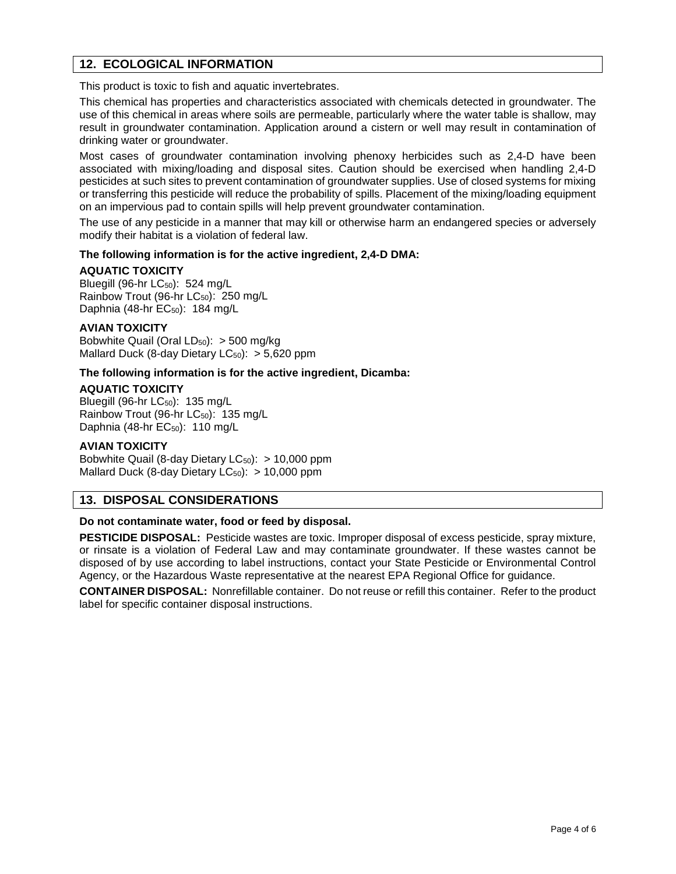## **12. ECOLOGICAL INFORMATION**

This product is toxic to fish and aquatic invertebrates.

This chemical has properties and characteristics associated with chemicals detected in groundwater. The use of this chemical in areas where soils are permeable, particularly where the water table is shallow, may result in groundwater contamination. Application around a cistern or well may result in contamination of drinking water or groundwater.

Most cases of groundwater contamination involving phenoxy herbicides such as 2,4-D have been associated with mixing/loading and disposal sites. Caution should be exercised when handling 2,4-D pesticides at such sites to prevent contamination of groundwater supplies. Use of closed systems for mixing or transferring this pesticide will reduce the probability of spills. Placement of the mixing/loading equipment on an impervious pad to contain spills will help prevent groundwater contamination.

The use of any pesticide in a manner that may kill or otherwise harm an endangered species or adversely modify their habitat is a violation of federal law.

#### **The following information is for the active ingredient, 2,4-D DMA:**

#### **AQUATIC TOXICITY**

Bluegill (96-hr  $LC_{50}$ ): 524 mg/L Rainbow Trout (96-hr LC<sub>50</sub>): 250 mg/L Daphnia (48-hr EC<sub>50</sub>): 184 mg/L

#### **AVIAN TOXICITY**

Bobwhite Quail (Oral  $LD_{50}$ ): > 500 mg/kg Mallard Duck (8-day Dietary  $LC_{50}$ ):  $> 5,620$  ppm

#### **The following information is for the active ingredient, Dicamba:**

#### **AQUATIC TOXICITY**

Bluegill (96-hr  $LC_{50}$ ): 135 mg/L Rainbow Trout (96-hr  $LC_{50}$ ): 135 mg/L Daphnia (48-hr  $EC_{50}$ ): 110 mg/L

#### **AVIAN TOXICITY**

Bobwhite Quail (8-day Dietary  $LC_{50}$ ): > 10,000 ppm Mallard Duck (8-day Dietary  $LC_{50}$ ): > 10,000 ppm

## **13. DISPOSAL CONSIDERATIONS**

#### **Do not contaminate water, food or feed by disposal.**

**PESTICIDE DISPOSAL:** Pesticide wastes are toxic. Improper disposal of excess pesticide, spray mixture, or rinsate is a violation of Federal Law and may contaminate groundwater. If these wastes cannot be disposed of by use according to label instructions, contact your State Pesticide or Environmental Control Agency, or the Hazardous Waste representative at the nearest EPA Regional Office for guidance.

**CONTAINER DISPOSAL:** Nonrefillable container. Do not reuse or refill this container. Refer to the product label for specific container disposal instructions.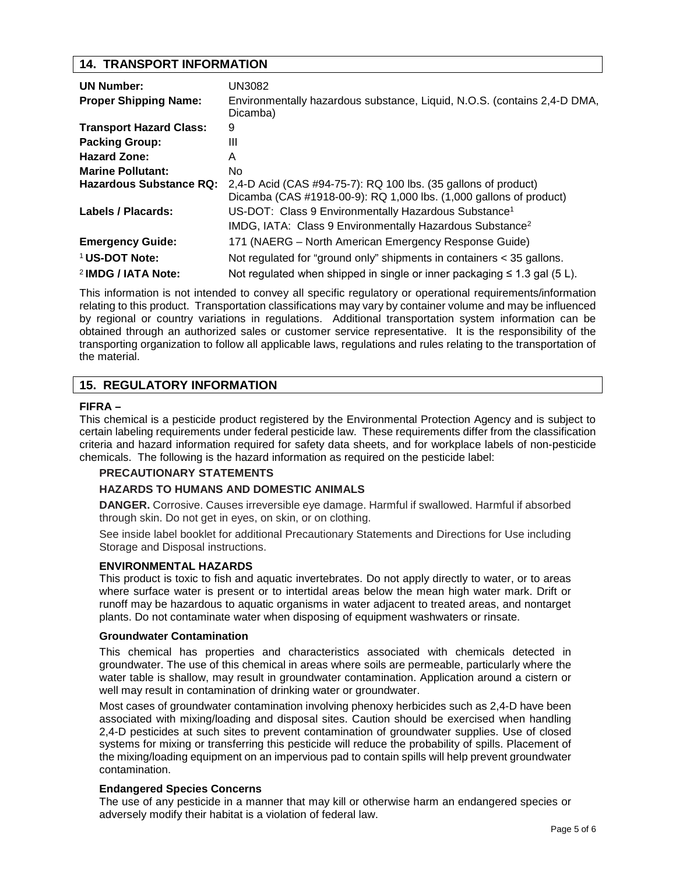## **14. TRANSPORT INFORMATION**

| <b>UN Number:</b><br><b>Proper Shipping Name:</b> | UN3082<br>Environmentally hazardous substance, Liquid, N.O.S. (contains 2,4-D DMA,<br>Dicamba) |
|---------------------------------------------------|------------------------------------------------------------------------------------------------|
| <b>Transport Hazard Class:</b>                    | 9                                                                                              |
| <b>Packing Group:</b>                             | Ш                                                                                              |
| <b>Hazard Zone:</b>                               | A                                                                                              |
| <b>Marine Pollutant:</b>                          | No.                                                                                            |
| Hazardous Substance RQ:                           | 2,4-D Acid (CAS #94-75-7): RQ 100 lbs. (35 gallons of product)                                 |
|                                                   | Dicamba (CAS #1918-00-9): RQ 1,000 lbs. (1,000 gallons of product)                             |
| Labels / Placards:                                | US-DOT: Class 9 Environmentally Hazardous Substance <sup>1</sup>                               |
|                                                   | IMDG, IATA: Class 9 Environmentally Hazardous Substance <sup>2</sup>                           |
| <b>Emergency Guide:</b>                           | 171 (NAERG – North American Emergency Response Guide)                                          |
| <sup>1</sup> US-DOT Note:                         | Not regulated for "ground only" shipments in containers < 35 gallons.                          |
| <sup>2</sup> IMDG / IATA Note:                    | Not regulated when shipped in single or inner packaging $\leq 1.3$ gal (5 L).                  |

This information is not intended to convey all specific regulatory or operational requirements/information relating to this product. Transportation classifications may vary by container volume and may be influenced by regional or country variations in regulations. Additional transportation system information can be obtained through an authorized sales or customer service representative. It is the responsibility of the transporting organization to follow all applicable laws, regulations and rules relating to the transportation of the material.

# **15. REGULATORY INFORMATION**

#### **FIFRA –**

This chemical is a pesticide product registered by the Environmental Protection Agency and is subject to certain labeling requirements under federal pesticide law. These requirements differ from the classification criteria and hazard information required for safety data sheets, and for workplace labels of non-pesticide chemicals. The following is the hazard information as required on the pesticide label:

## **PRECAUTIONARY STATEMENTS**

## **HAZARDS TO HUMANS AND DOMESTIC ANIMALS**

**DANGER.** Corrosive. Causes irreversible eye damage. Harmful if swallowed. Harmful if absorbed through skin. Do not get in eyes, on skin, or on clothing.

See inside label booklet for additional Precautionary Statements and Directions for Use including Storage and Disposal instructions.

## **ENVIRONMENTAL HAZARDS**

This product is toxic to fish and aquatic invertebrates. Do not apply directly to water, or to areas where surface water is present or to intertidal areas below the mean high water mark. Drift or runoff may be hazardous to aquatic organisms in water adjacent to treated areas, and nontarget plants. Do not contaminate water when disposing of equipment washwaters or rinsate.

#### **Groundwater Contamination**

This chemical has properties and characteristics associated with chemicals detected in groundwater. The use of this chemical in areas where soils are permeable, particularly where the water table is shallow, may result in groundwater contamination. Application around a cistern or well may result in contamination of drinking water or groundwater.

Most cases of groundwater contamination involving phenoxy herbicides such as 2,4-D have been associated with mixing/loading and disposal sites. Caution should be exercised when handling 2,4-D pesticides at such sites to prevent contamination of groundwater supplies. Use of closed systems for mixing or transferring this pesticide will reduce the probability of spills. Placement of the mixing/loading equipment on an impervious pad to contain spills will help prevent groundwater contamination.

#### **Endangered Species Concerns**

The use of any pesticide in a manner that may kill or otherwise harm an endangered species or adversely modify their habitat is a violation of federal law.